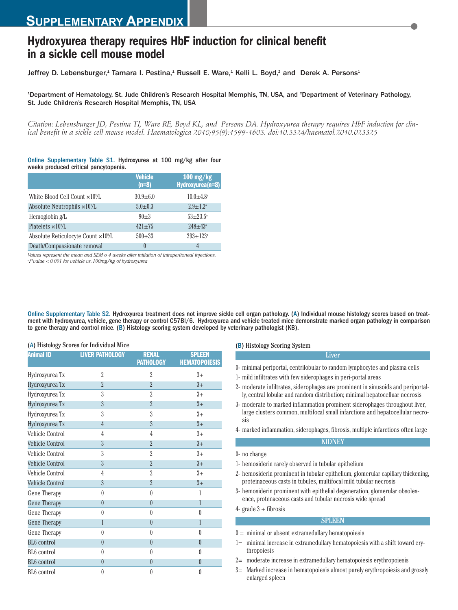# **Hydroxyurea therapy requires HbF induction for clinical benefit in a sickle cell mouse model**

Jeffrey D. Lebensburger,<sup>1</sup> Tamara I. Pestina,<sup>1</sup> Russell E. Ware,<sup>1</sup> Kelli L. Boyd,<sup>2</sup> and Derek A. Persons<sup>1</sup>

<sup>1</sup>Department of Hematology, St. Jude Children's Research Hospital Memphis, TN, USA, and <sup>2</sup>Department of Veterinary Pathology, St. Jude Children's Research Hospital Memphis, TN, USA

*Citation: Lebensburger JD, Pestina TI, Ware RE, Boyd KL, and Persons DA. Hydroxyurea therapy requires HbF induction for clinical benefit in a sickle cell mouse model. Haematologica 2010;95(9):1599-1603. doi:10.3324/haematol.2010.023325*

## Online Supplementary Table S1. Hydroxyurea at 100 mg/kg after four weeks produced critical pancytopenia.

|                                                         | <b>Vehicle</b><br>$(n=8)$ | $100$ mg/kg<br>Hydroxyurea(n=8) |
|---------------------------------------------------------|---------------------------|---------------------------------|
| White Blood Cell Count ×10%L                            | $30.9 + 6.0$              | $10.0 + 4.8^{\circ}$            |
| Absolute Neutrophils $\times$ 10 <sup>9</sup> /L        | $5.0 \pm 0.3$             | $2.9 \pm 1.2^{\circ}$           |
| Hemoglobin g/L                                          | $90+3$                    | $53 + 23.5^{\circ}$             |
| Platelets $\times$ 10 <sup>9</sup> /L                   | $421 \pm 75$              | $248 \pm 43^{\circ}$            |
| Absolute Reticulocyte Count $\times$ 10 <sup>9</sup> /L | $500 + 33$                | $293 \pm 123$ <sup>a</sup>      |
| Death/Compassionate removal                             |                           | 4                               |

*Values represent the mean and SEM o 4 weeks after initiation of intraperitoneal injections. a P value < 0.001 for vehicle vs. 100mg/kg of hydroxyurea*

Online Supplementary Table S2. Hydroxyurea treatment does not improve sickle cell organ pathology. (A) Individual mouse histology scores based on treatment with hydroxyurea, vehicle, gene therapy or control C57Bl/6. Hydroxyurea and vehicle treated mice demonstrate marked organ pathology in comparison to gene therapy and control mice. (B) Histology scoring system developed by veterinary pathologist (KB).

### (A) Histology Scores for Individual Mice

| <b>Animal ID</b>        | <b>LIVER PATHOLOGY</b> | <b>RENAL</b><br><b>PATHOLOGY</b> | <b>SPLEEN</b><br><b>HEMATOPOIESIS</b> |
|-------------------------|------------------------|----------------------------------|---------------------------------------|
| Hydroxyurea Tx          | $\overline{2}$         | $\overline{2}$                   | $3+$                                  |
| Hydroxyurea Tx          | $\overline{2}$         | $\overline{2}$                   | $3+$                                  |
| Hydroxyurea Tx          | 3                      | $\overline{2}$                   | $3+$                                  |
| Hydroxyurea Tx          | 3                      | $\overline{2}$                   | $3+$                                  |
| Hydroxyurea Tx          | 3                      | 3                                | $3+$                                  |
| Hydroxyurea Tx          | $\overline{4}$         | 3                                | $3+$                                  |
| Vehicle Control         | 4                      | 4                                | $3+$                                  |
| Vehicle Control         | $\overline{3}$         | $\overline{2}$                   | $3+$                                  |
| Vehicle Control         | 3                      | $\overline{2}$                   | $3+$                                  |
| Vehicle Control         | 3                      | $\overline{2}$                   | $3+$                                  |
| Vehicle Control         | $\overline{4}$         | $\overline{2}$                   | $3+$                                  |
| <b>Vehicle Control</b>  | $\overline{3}$         | $\overline{2}$                   | $3+$                                  |
| Gene Therapy            | $\theta$               | $\theta$                         | 1                                     |
| <b>Gene Therapy</b>     | $\overline{0}$         | $\overline{0}$                   | 1                                     |
| Gene Therapy            | $\theta$               | $\theta$                         | $\theta$                              |
| Gene Therapy            | 1                      | $\theta$                         | 1                                     |
| Gene Therapy            | $\theta$               | $\theta$                         | $\theta$                              |
| <b>BL6</b> control      | $\theta$               | $\theta$                         | $\theta$                              |
| BL <sub>6</sub> control | $\theta$               | $\theta$                         | $\theta$                              |
| <b>BL6</b> control      | $\theta$               | $\theta$                         | $\theta$                              |
| BL <sub>6</sub> control | $\theta$               | 0                                | 0                                     |

## (B) Histology Scoring System

- 0- minimal periportal, centrilobular to random lymphocytes and plasma cells
- 1- mild infiltrates with few siderophages in peri-portal areas
- 2- moderate infiltrates, siderophages are prominent in sinusoids and periportally, central lobular and random distribution; minimal hepatocelluar necrosis

Liver

- 3- moderate to marked inflammation prominent siderophages throughout liver, large clusters common, multifocal small infarctions and hepatocellular necrosis
- 4- marked inflammation, siderophages, fibrosis, multiple infarctions often large **KIDNEY**

- 1- hemosiderin rarely observed in tubular epithelium
- 2- hemosiderin prominent in tubular epithelium, glomerular capillary thickening, proteinaceous casts in tubules, multifocal mild tubular necrosis
- 3- hemosiderin prominent with epithelial degeneration, glomerular obsolesence, protenaceous casts and tubular necrosis wide spread

4- grade 3 + fibrosis

0- no change

## **SPLEEN**

- $0 =$  minimal or absent extramedullary hematopoiesis
- 1= minimal increase in extramedullary hematopoiesis with a shift toward erythropoiesis
- 2= moderate increase in extramedullary hematopoiesis erythropoiesis
- 3= Marked increase in hematopoiesis almost purely erythropoiesis and grossly enlarged spleen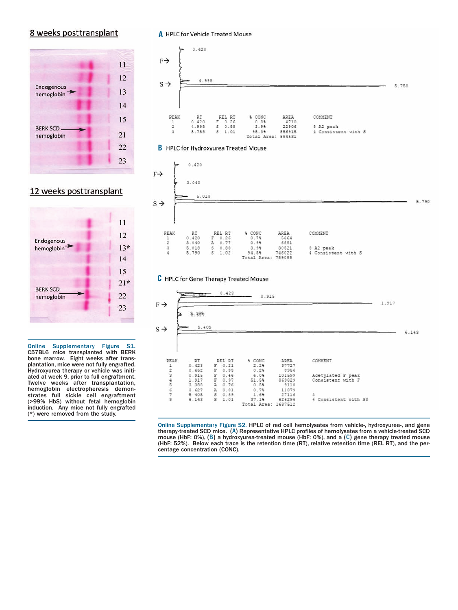## 8 weeks posttransplant



## 12 weeks posttransplant



Online Supplementary Figure S1. C57BL6 mice transplanted with BERK bone marrow. Eight weeks after transplantation, mice were not fully engrafted. Hydroxyurea therapy or vehicle was initiated at week 9, prior to full engraftment. Twelve weeks after transplantation, hemoglobin electropheresis demonstrates full sickle cell engraftment (>99% HbS) without fetal hemoglobin induction. Any mice not fully engrafted (\*) were removed from the study.

## **A** HPLC for Vehicle Treated Mouse



## **B** HPLC for Hydroxyurea Treated Mouse



## **C** HPLC for Gene Therapy Treated Mouse



Online Supplementary Figure S2. HPLC of red cell hemolysates from vehicle-, hydroxyurea-, and gene therapy-treated SCD mice. (A) Representative HPLC profiles of hemolysates from a vehicle-treated SCD mouse (HbF: 0%), (B) a hydroxyurea-treated mouse (HbF: 0%), and a (C) gene therapy treated mouse (HbF: 52%). Below each trace is the retention time (RT), relative retention time (REL RT), and the percentage concentration (CONC).